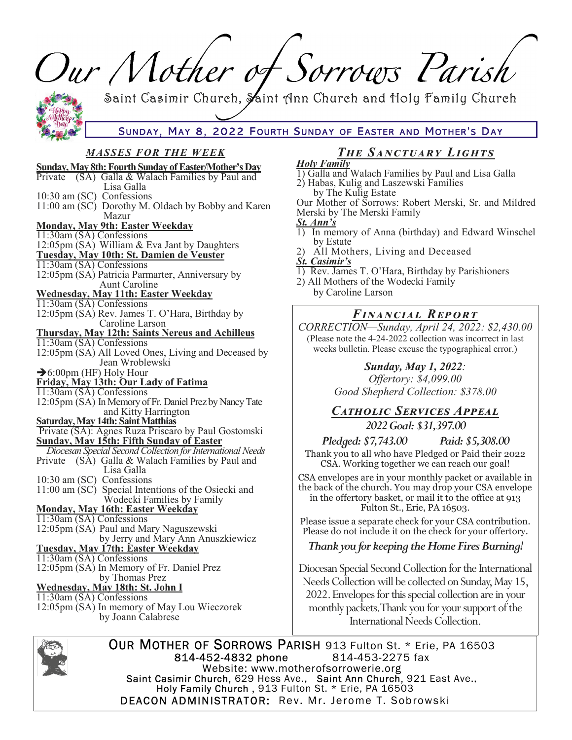| Our Mother of Sorrows Parish                                                                                                                              |                                                                                                                                                                                                               |
|-----------------------------------------------------------------------------------------------------------------------------------------------------------|---------------------------------------------------------------------------------------------------------------------------------------------------------------------------------------------------------------|
|                                                                                                                                                           |                                                                                                                                                                                                               |
| Saint Casimir Church, Saint Ann Church and Holy Family Church                                                                                             |                                                                                                                                                                                                               |
|                                                                                                                                                           |                                                                                                                                                                                                               |
| SUNDAY, MAY 8, 2022 FOURTH SUNDAY OF EASTER AND MOTHER'S DAY                                                                                              |                                                                                                                                                                                                               |
| <b>MASSES FOR THE WEEK</b>                                                                                                                                | <b>THE SANCTUARY LIGHTS</b>                                                                                                                                                                                   |
| <b>Sunday, May 8th: Fourth Sunday of Easter/Mother's Day</b><br>(SA) Galla & Walach Families by Paul and<br>Private<br>Lisa Galla                         | <b>Holy Family</b><br>1) Galla and Walach Families by Paul and Lisa Galla<br>2) Habas, Kulig and Laszewski Families                                                                                           |
| 10:30 am (SC) Confessions<br>11:00 am (SC) Dorothy M. Oldach by Bobby and Karen<br>Mazur                                                                  | by The Kulig Estate<br>Our Mother of Sorrows: Robert Merski, Sr. and Mildred<br>Merski by The Merski Family                                                                                                   |
| <b>Monday, May 9th: Easter Weekday</b><br>$11:30$ am (SA) Confessions<br>12:05pm (SA) William & Eva Jant by Daughters                                     | St. Ann's<br>1) In memory of Anna (birthday) and Edward Winschel<br>by Estate                                                                                                                                 |
| Tuesday, May 10th: St. Damien de Veuster<br>$11:30$ am (SA) Confessions<br>12:05pm (SA) Patricia Parmarter, Anniversary by                                | 2) All Mothers, Living and Deceased<br><b>St. Casimir's</b><br>1) Rev. James T. O'Hara, Birthday by Parishioners                                                                                              |
| <b>Aunt Caroline</b><br><u> Wednesday, May 11th: Easter Weekday</u><br>$11:30$ am (SA) Confessions                                                        | 2) All Mothers of the Wodecki Family<br>by Caroline Larson                                                                                                                                                    |
| 12:05pm (SA) Rev. James T. O'Hara, Birthday by<br>Caroline Larson                                                                                         | <b>FINANCIAL REPORT</b><br>CORRECTION-Sunday, April 24, 2022: \$2,430.00                                                                                                                                      |
| Thursday, May 12th: Saints Nereus and Achilleus<br>11:30am (SA) Confessions<br>12:05pm (SA) All Loved Ones, Living and Deceased by<br>Jean Wroblewski     | (Please note the 4-24-2022 collection was incorrect in last<br>weeks bulletin. Please excuse the typographical error.)                                                                                        |
| $\rightarrow$ 6:00pm (HF) Holy Hour<br>Friday, May 13th: Our Lady of Fatima<br>$11:30$ am (SA) Confessions                                                | <b>Sunday, May 1, 2022:</b><br>Offertory: \$4,099.00<br>Good Shepherd Collection: \$378.00                                                                                                                    |
| 12:05pm (SA) In Memory of Fr. Daniel Prez by Nancy Tate<br>and Kitty Harrington<br>Saturday, May 14th: Saint Matthias                                     | CATHOLIC SERVICES APPEAL<br>2022 Goal: \$31,397.00                                                                                                                                                            |
| Private (SA): Agnes Ruza Priscaro by Paul Gostomski<br>Sunday, May 15th: Fifth Sunday of Easter                                                           | Pledged: \$7,743.00 Paid: \$5,308.00                                                                                                                                                                          |
| Diocesan Special Second Collection for International Needs<br>Private (SA) Galla & Walach Families by Paul and<br>Lisa Galla                              | Thank you to all who have Pledged or Paid their 2022<br>CSA. Working together we can reach our goal!                                                                                                          |
| 10:30 am (SC) Confessions<br>11:00 am (SC) Special Intentions of the Osiecki and<br>Wodecki Families by Family<br><b>Monday, May 16th: Easter Weekday</b> | CSA envelopes are in your monthly packet or available in<br>the back of the church. You may drop your CSA envelope<br>in the offertory basket, or mail it to the office at 913<br>Fulton St., Erie, PA 16503. |
| 11:30am (SA) Confessions<br>12:05pm (SA) Paul and Mary Naguszewski                                                                                        | Please issue a separate check for your CSA contribution.<br>Please do not include it on the check for your offertory.                                                                                         |
| by Jerry and Mary Ann Anuszkiewicz<br><b>Tuesday, May 17th: Easter Weekday</b><br>11:30am (SA) Confessions                                                | Thank you for keeping the Home Fires Burning!                                                                                                                                                                 |
| 12:05pm (SA) In Memory of Fr. Daniel Prez<br>by Thomas Prez                                                                                               | Diocesan Special Second Collection for the International<br>Needs Collection will be collected on Sunday, May 15,                                                                                             |
| Wednesday, May 18th: St. John I<br>11:30am (SA) Confessions                                                                                               | 2022. Envelopes for this special collection are in your                                                                                                                                                       |
| 12:05pm (SA) In memory of May Lou Wieczorek<br>by Joann Calabrese                                                                                         | monthly packets. Thank you for your support of the<br>International Needs Collection.                                                                                                                         |



OUR MOTHER OF SORROWS PARISH 913 Fulton St. \* Erie, PA 16503 814-453-2275 fax 814-452-4832 phone Website: www.motherofsorrowerie.org<br>Saint Casimir Church, 629 Hess Ave., Saint Ann Church, 921 East Ave.,<br>Holy Family Church, 913 Fulton St. \* Erie, PA 16503 DEACON ADMINISTRATOR: Rev. Mr. Jerome T. Sobrowski